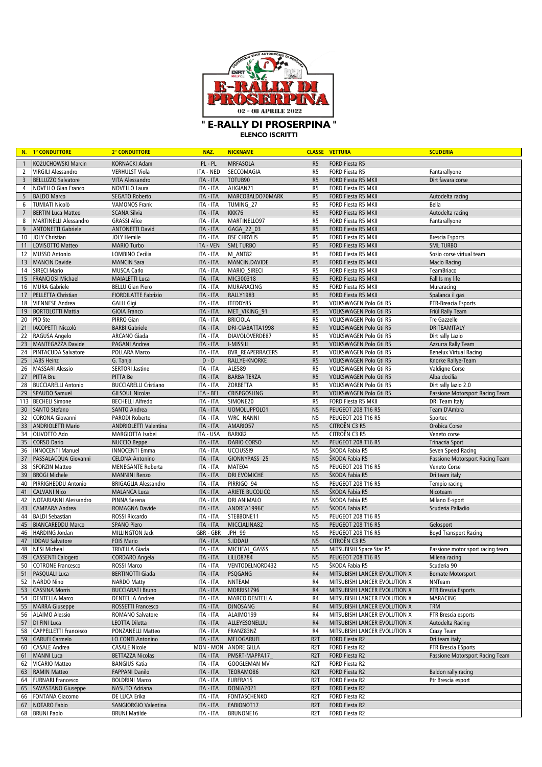

**ELENCO ISCRITTI**

|                | N. 1° CONDUTTORE                         | 2° CONDUTTORE                          | NAZ.                   | <b>NICKNAME</b>                        |                                  | <b>CLASSE VETTURA</b>                            | <b>SCUDERIA</b>                          |
|----------------|------------------------------------------|----------------------------------------|------------------------|----------------------------------------|----------------------------------|--------------------------------------------------|------------------------------------------|
| $\overline{1}$ | KOŻUCHOWSKI Marcin                       | <b>KORNACKI Adam</b>                   | PL - PL                | <b>MRFASOLA</b>                        | R <sub>5</sub>                   | <b>FORD Fiesta R5</b>                            |                                          |
| $\overline{2}$ | <b>VIRGILI Alessandro</b>                | <b>VERHULST Viola</b>                  | ITA - NED              | SECCOMAGIA                             | R <sub>5</sub>                   | FORD Fiesta R5                                   | Fantarallyone                            |
| 3              | <b>BELLUZZO Salvatore</b>                | <b>VITA Alessandro</b>                 | ITA - ITA              | TOTUB90                                | R <sub>5</sub>                   | FORD Fiesta R5 MKII                              | Dirt favara corse                        |
| 4              | <b>NOVELLO Gian Franco</b>               | NOVELLO Laura                          | ITA - ITA              | AHGIAN71                               | R <sub>5</sub>                   | FORD Fiesta R5 MKII                              |                                          |
| 5              | <b>BALDO Marco</b>                       | <b>SEGATO Roberto</b>                  | ITA - ITA              | MARCOBALDO70MARK                       | R <sub>5</sub>                   | FORD Fiesta R5 MKII                              | Autodelta racing                         |
| 6              | <b>TUMIATI Nicolò</b>                    | <b>VAMONOS Frank</b>                   | ITA - ITA              | TUMING 27                              | R <sub>5</sub>                   | FORD Fiesta R5 MKII                              | Bella                                    |
| $\overline{7}$ | <b>BERTIN Luca Matteo</b>                | <b>SCANA Silvia</b>                    | ITA - ITA              | KKK76                                  | R <sub>5</sub>                   | <b>FORD Fiesta R5 MKII</b>                       | Autodelta racing                         |
| 8              | <b>MARTINELLI Alessandro</b>             | <b>GRASSI Alice</b>                    | ITA - ITA              | MARTINELL097                           | R <sub>5</sub>                   | FORD Fiesta R5 MKII                              | Fantarallyone                            |
| 9              | <b>ANTONETTI Gabriele</b>                | <b>ANTONETTI David</b>                 | ITA - ITA              | GAGA 22 03                             | R <sub>5</sub>                   | FORD Fiesta R5 MKII                              |                                          |
| 10             | <b>JOLY Christian</b>                    | <b>JOLY Hemile</b>                     | ITA - ITA              | <b>BSE CHRYLIS</b>                     | R <sub>5</sub>                   | FORD Fiesta R5 MKII                              | <b>Brescia Esports</b>                   |
| 11             | LOVISOTTO Matteo                         | <b>MARIO Turbo</b>                     | ITA - VEN              | <b>SML TURBO</b>                       | R <sub>5</sub>                   | FORD Fiesta R5 MKII                              | <b>SML TURBO</b>                         |
| 12             | <b>MUSSO Antonio</b>                     | LOMBINO Cecilia                        | ITA - ITA              | M ANT82                                | R <sub>5</sub>                   | FORD Fiesta R5 MKII                              | Sosio corse virtual team                 |
| 13             | <b>MANCIN Davide</b>                     | <b>MANCIN Sara</b>                     | ITA - ITA              | MANCIN.DAVIDE                          | R <sub>5</sub>                   | FORD Fiesta R5 MKII                              | <b>Macio Racing</b>                      |
| 14             | <b>SIRECI Mario</b>                      | <b>MUSCA Carlo</b>                     | ITA - ITA              | MARIO SIRECI                           | R <sub>5</sub>                   | FORD Fiesta R5 MKII                              | <b>TeamBriaco</b>                        |
| 15             | <b>FRANCIOSI Michael</b>                 | <b>MAIALETTI Luca</b>                  | ITA - ITA              | MIC300318                              | R <sub>5</sub>                   | FORD Fiesta R5 MKII                              | Fall Is my life                          |
| 16             | <b>MURA Gabriele</b>                     | <b>BELLU Gian Piero</b>                | ITA - ITA              | MURARACING                             | R <sub>5</sub>                   | FORD Fiesta R5 MKII                              | Muraracing                               |
| 17             | PELLETTA Christian                       | <b>FIORDILATTE Fabrizio</b>            | ITA - ITA              | RALLY1983                              | R <sub>5</sub>                   | FORD Fiesta R5 MKII                              | Spalanca il gas                          |
| 18             | <b>VIENNESE Andrea</b>                   | <b>GALLI Gigi</b>                      | ITA - ITA              | ITEDDY85                               | R <sub>5</sub>                   | VOLKSWAGEN Polo Gti R5                           | PTR-Breacia Esports                      |
| 19<br>20       | <b>BORTOLOTTI Mattia</b><br>PIO Ste      | <b>GIOIA Franco</b><br>PIRRO Gian      | ITA - ITA<br>ITA - ITA | MET VIKING 91<br><b>BRICIOLA</b>       | R <sub>5</sub><br>R <sub>5</sub> | VOLKSWAGEN Polo Gti R5<br>VOLKSWAGEN Polo Gti R5 | Friûl Rally Team<br><b>Tre Gazzelle</b>  |
| 21             | <b>IACOPETTI Niccolò</b>                 | <b>BARBI Gabriele</b>                  | ITA - ITA              | DRI-CIABATTA1998                       | R <sub>5</sub>                   | VOLKSWAGEN Polo Gti R5                           | DRITEAMITALY                             |
| 22             | RAGUSA Angelo                            | ARCANO Giada                           | ITA - ITA              | DIAVOLOVERDE87                         | R <sub>5</sub>                   | VOLKSWAGEN Polo Gti R5                           | Dirt rally Lazio                         |
| 23             | <b>MANTEGAZZA Davide</b>                 | PAGANI Andrea                          | ITA - ITA              | <b>I-MISSILI</b>                       | R <sub>5</sub>                   | VOLKSWAGEN Polo Gti R5                           | Azzurra Rally Team                       |
| 24             | <b>PINTACUDA Salvatore</b>               | POLLARA Marco                          | ITA - ITA              | <b>BVR REAPERRACERS</b>                | R <sub>5</sub>                   | VOLKSWAGEN Polo Gti R5                           | <b>Benelux Virtual Racing</b>            |
| 25             | JABS Heinz                               | G. Tanja                               | $D - D$                | RALLYE-KNORKE                          | R <sub>5</sub>                   | VOLKSWAGEN Polo Gti R5                           | Knorke Rallye-Team                       |
| 26             | <b>MASSARI Alessio</b>                   | <b>SERTORI Jastine</b>                 | ITA - ITA              | ALE589                                 | R <sub>5</sub>                   | VOLKSWAGEN Polo Gti R5                           | <b>Valdigne Corse</b>                    |
| 27             | <b>PITTA Bru</b>                         | PITTA Be                               | ITA - ITA              | <b>BARBA TERZA</b>                     | R <sub>5</sub>                   | VOLKSWAGEN Polo Gti R5                           | Alba docilia                             |
| 28             | <b>BUCCIARELLI Antonio</b>               | <b>BUCCIARELLI Cristiano</b>           | ITA - ITA              | ZORBETTA                               | R <sub>5</sub>                   | <b>VOLKSWAGEN Polo Gti R5</b>                    | Dirt rally lazio 2.0                     |
| 29             | <b>SPAUDO Samuel</b>                     | <b>GILSOUL Nicolas</b>                 | ITA - BEL              | <b>CRISPGOSLING</b>                    | R <sub>5</sub>                   | VOLKSWAGEN Polo Gti R5                           | Passione Motorsport Racing Team          |
| 113            | <b>BECHELI Simone</b>                    | <b>BECHELLI Alfredo</b>                | ITA - ITA              | SIMONE20                               | R <sub>5</sub>                   | FORD Fiesta R5 MKII                              | <b>DRI Team Italy</b>                    |
| 30             | <b>SANTO Stefano</b>                     | <b>SANTO Andrea</b>                    | ITA - ITA              | UOMOLUPPOLO1                           | N <sub>5</sub>                   | <b>PEUGEOT 208 T16 R5</b>                        | Team D'Ambra                             |
| 32             | <b>CORONA Giovanni</b>                   | PARODI Roberto                         | ITA - ITA              | <b>WRC NANNI</b>                       | N <sub>5</sub>                   | PEUGEOT 208 T16 R5                               | Sportec                                  |
| 33             | <b>ANDRIOLETTI Mario</b>                 | ANDRIOLETTI Valentina                  | ITA - ITA              | AMARIO57                               | N <sub>5</sub>                   | CITROËN C3 R5                                    | Orobica Corse                            |
| 34             | OLIVOTTO Ado                             | <b>MARGIOTTA Isabel</b>                | ITA - USA              | BARK82                                 | N <sub>5</sub>                   | CITROËN C3 R5                                    | Veneto corse                             |
| 35             | <b>CORSO Dario</b>                       | <b>NUCCIO Beppe</b>                    | ITA - ITA              | <b>DARIO CORSO</b>                     | N <sub>5</sub>                   | PEUGEOT 208 T16 R5                               | <b>Trinacria Sport</b>                   |
| 36             | <b>INNOCENTI Manuel</b>                  | <b>INNOCENTI Emma</b>                  | ITA - ITA              | UCCIUSSI9                              | N <sub>5</sub>                   | ŠKODA Fabia R5                                   | Seven Speed Racing                       |
| 37             | PASSALACQUA Giovanni                     | <b>CELONA Antonino</b>                 | ITA - ITA              | GIONNYPASS 25                          | N <sub>5</sub>                   | ŠKODA Fabia R5                                   | Passione Motorsport Racing Team          |
| 38             | <b>SFORZIN Matteo</b>                    | <b>MENEGANTE Roberta</b>               | ITA - ITA              | MATE04                                 | N <sub>5</sub>                   | PEUGEOT 208 T16 R5                               | Veneto Corse                             |
| 39             | <b>BROGI Michele</b>                     | <b>MANNINI Renzo</b>                   | ITA - ITA              | DRI EVOMICHE                           | N <sub>5</sub>                   | ŠKODA Fabia R5                                   | Dri team italy                           |
| 40             | PIRRIGHEDDU Antonio                      | <b>BRIGAGLIA Alessandro</b>            | ITA - ITA              | PIRRIGO 94                             | N <sub>5</sub>                   | PEUGEOT 208 T16 R5                               | Tempio racing                            |
| 41             | <b>CALVANI Nico</b>                      | <b>MALANCA Luca</b>                    | ITA - ITA              | ARIETE BUCOLICO                        | N <sub>5</sub>                   | ŠKODA Fabia R5                                   | Nicoteam                                 |
| 42             | NOTARIANNI Alessandro                    | PINNA Serena                           | ITA - ITA              | <b>DRI ANIMALO</b>                     | N <sub>5</sub>                   | ŠKODA Fabia R5                                   | Milano E-sport                           |
| 43             | <b>CAMPARA Andrea</b>                    | ROMAGNA Davide                         | ITA - ITA              | ANDREA1996C                            | N <sub>5</sub>                   | ŠKODA Fabia R5                                   | Scuderia Palladio                        |
| 44             | <b>BALDI Sebastian</b>                   | ROSSI Riccardo                         | ITA - ITA              | STEBBONE11                             | N <sub>5</sub>                   | PEUGEOT 208 T16 R5                               |                                          |
| 45             | <b>BIANCAREDDU Marco</b>                 | <b>SPANO Piero</b>                     | ITA - ITA              | MICCIALINA82                           | N <sub>5</sub>                   | <b>PEUGEOT 208 T16 R5</b>                        | Gelosport                                |
| 46             | <b>HARDING Jordan</b>                    | <b>MILLINGTON Jack</b>                 | GBR - GBR              | JPH 99                                 | N <sub>5</sub>                   | PEUGEOT 208 T16 R5                               | <b>Boyd Transport Racing</b>             |
| 47             | <b>IDDAU Salvatore</b>                   | <b>FOIS Mario</b>                      | ITA - ITA              | S.IDDAU                                | N <sub>5</sub>                   | CITROËN C3 R5                                    |                                          |
| 48             | <b>NESI Micheal</b>                      | <b>TRIVELLA Giada</b>                  | ITA - ITA              | MICHEAL GASSS                          | N <sub>5</sub>                   | MITSUBISHI Space Star R5                         | Passione motor sport racing team         |
|                | 49 CASSENTI Calogero                     | CORDARO Angela                         | ITA - ITA              | ITA - ITA LILLO8784<br>VENTODELNORD432 | N5                               | PEUGEOT 208 T16 R5                               | Milena racing                            |
|                | 50 COTRONE Francesco<br>51 PASQUALI Luca | ROSSI Marco<br><b>BERTINOTTI Giada</b> | <b>ITA - ITA</b>       | PSQGANG                                | N5<br>R <sub>4</sub>             | ŠKODA Fabia R5<br>MITSUBISHI LANCER EVOLUTION X  | Scuderia 90<br><b>Bornate Motorsport</b> |
| 52             | <b>NARDO Nino</b>                        | <b>NARDO Matty</b>                     | ITA - ITA              | <b>NNTEAM</b>                          | R4                               | MITSUBISHI LANCER EVOLUTION X                    | NNTeam                                   |
| 53             | <b>CASSINA Morris</b>                    | <b>BUCCIARATI Bruno</b>                | ITA - ITA              | MORRIS1796                             | R <sub>4</sub>                   | MITSUBISHI LANCER EVOLUTION X                    | PTR Brescia Esports                      |
| 54             | <b>DENTELLA Marco</b>                    | <b>DENTELLA Andrea</b>                 | ITA - ITA              | <b>MARCO DENTELLA</b>                  | R4                               | MITSUBISHI LANCER EVOLUTION X                    | MARACING                                 |
|                | 55 MARRA Giuseppe                        | ROSSETTI Francesco                     | ITA - ITA              | <b>DJNOSANG</b>                        | R <sub>4</sub>                   | MITSUBISHI LANCER EVOLUTION X                    | <b>TRM</b>                               |
| 56             | <b>ALAIMO Alessio</b>                    | ROMANO Salvatore                       | ITA - ITA              | ALAIM0199                              | R4                               | MITSUBISHI LANCER EVOLUTION X                    | PTR Brescia esports                      |
| 57             | DI FINI Luca                             | LEOTTA Diletta                         | ITA - ITA              | ALLEYESONELUU                          | R <sub>4</sub>                   | MITSUBISHI LANCER EVOLUTION X                    | Autodelta Racing                         |
| 58             | <b>CAPPELLETTI Francesco</b>             | PONZANELLI Matteo                      | ITA - ITA              | FRANZ83NZ                              | R4                               | MITSUBISHI LANCER EVOLUTION X                    | Crazy Team                               |
| 59             | <b>GARUFI Carmelo</b>                    | LO CONTI Antonino                      | ITA - ITA              | MELOGARUFI                             | R <sub>2</sub> T                 | FORD Fiesta R2                                   | Dri team italy                           |
| 60             | <b>CASALE Andrea</b>                     | <b>CASALE Nicole</b>                   |                        | MON - MON ANDRE GILLA                  | R <sub>2</sub> T                 | FORD Fiesta R2                                   | PTR Brescia ESports                      |
| 61             | <b>MANNI Luca</b>                        | <b>BETTAZZA Nicolas</b>                | ITA - ITA              | PMSRT-MAPPA17                          | R <sub>2</sub> T                 | FORD Fiesta R2                                   | Passione Motorsport Racing Team          |
| 62             | <b>VICARIO Matteo</b>                    | <b>BANGIUS Katia</b>                   | ITA - ITA              | <b>GOOGLEMAN MV</b>                    | R <sub>2</sub> T                 | FORD Fiesta R2                                   |                                          |
| 63             | <b>RAMIN Matteo</b>                      | <b>FAPPANI Danilo</b>                  | ITA - ITA              | TEORAM086                              | R <sub>2</sub> T                 | FORD Fiesta R2                                   | Baldon rally racing                      |
| 64             | <b>FURNARI Francesco</b>                 | <b>BOLDRINI Marco</b>                  | ITA - ITA              | FURFRA15                               | R <sub>2</sub> T                 | FORD Fiesta R2                                   | Ptr Brescia esport                       |
| 65             | SAVASTANO Giuseppe                       | NASUTO Adriana                         | ITA - ITA              | <b>DONIA2021</b>                       | R <sub>2</sub> T                 | FORD Fiesta R2                                   |                                          |
| 66             | <b>FONTANA Giacomo</b>                   | DE LUCA Erika                          | ITA - ITA              | FONTASCHENKO                           | R <sub>2</sub> T                 | FORD Fiesta R2                                   |                                          |
| 67             | <b>NOTARO Fabio</b>                      | SANGIORGIO Valentina                   | ITA - ITA              | FABIONOT17                             | R <sub>2</sub> T                 | FORD Fiesta R2                                   |                                          |
|                | 68 BRUNI Paolo                           | <b>BRUNI Matilde</b>                   | ITA - ITA              | BRUNONE16                              | R <sub>2</sub> T                 | FORD Fiesta R2                                   |                                          |